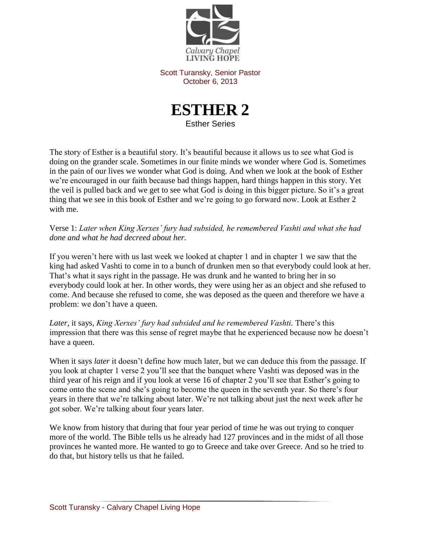

Scott Turansky, Senior Pastor October 6, 2013



The story of Esther is a beautiful story. It's beautiful because it allows us to see what God is doing on the grander scale. Sometimes in our finite minds we wonder where God is. Sometimes in the pain of our lives we wonder what God is doing. And when we look at the book of Esther we're encouraged in our faith because bad things happen, hard things happen in this story. Yet the veil is pulled back and we get to see what God is doing in this bigger picture. So it's a great thing that we see in this book of Esther and we're going to go forward now. Look at Esther 2 with me.

Verse 1: *Later when King Xerxes' fury had subsided, he remembered Vashti and what she had done and what he had decreed about her.* 

If you weren't here with us last week we looked at chapter 1 and in chapter 1 we saw that the king had asked Vashti to come in to a bunch of drunken men so that everybody could look at her. That's what it says right in the passage. He was drunk and he wanted to bring her in so everybody could look at her. In other words, they were using her as an object and she refused to come. And because she refused to come, she was deposed as the queen and therefore we have a problem: we don't have a queen.

Later, it says, *King Xerxes' fury had subsided and he remembered Vashti*. There's this impression that there was this sense of regret maybe that he experienced because now he doesn't have a queen.

When it says *later* it doesn't define how much later, but we can deduce this from the passage. If you look at chapter 1 verse 2 you'll see that the banquet where Vashti was deposed was in the third year of his reign and if you look at verse 16 of chapter 2 you'll see that Esther's going to come onto the scene and she's going to become the queen in the seventh year. So there's four years in there that we're talking about later. We're not talking about just the next week after he got sober. We're talking about four years later.

We know from history that during that four year period of time he was out trying to conquer more of the world. The Bible tells us he already had 127 provinces and in the midst of all those provinces he wanted more. He wanted to go to Greece and take over Greece. And so he tried to do that, but history tells us that he failed.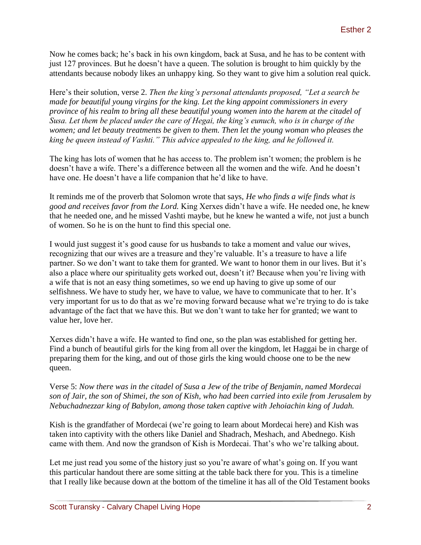Now he comes back; he's back in his own kingdom, back at Susa, and he has to be content with just 127 provinces. But he doesn't have a queen. The solution is brought to him quickly by the attendants because nobody likes an unhappy king. So they want to give him a solution real quick.

Here's their solution, verse 2. *Then the king's personal attendants proposed, "Let a search be made for beautiful young virgins for the king. Let the king appoint commissioners in every province of his realm to bring all these beautiful young women into the harem at the citadel of Susa. Let them be placed under the care of Hegai, the king's eunuch, who is in charge of the women; and let beauty treatments be given to them. Then let the young woman who pleases the king be queen instead of Vashti." This advice appealed to the king, and he followed it.*

The king has lots of women that he has access to. The problem isn't women; the problem is he doesn't have a wife. There's a difference between all the women and the wife. And he doesn't have one. He doesn't have a life companion that he'd like to have.

It reminds me of the proverb that Solomon wrote that says, *He who finds a wife finds what is good and receives favor from the Lord.* King Xerxes didn't have a wife. He needed one, he knew that he needed one, and he missed Vashti maybe, but he knew he wanted a wife, not just a bunch of women. So he is on the hunt to find this special one.

I would just suggest it's good cause for us husbands to take a moment and value our wives, recognizing that our wives are a treasure and they're valuable. It's a treasure to have a life partner. So we don't want to take them for granted. We want to honor them in our lives. But it's also a place where our spirituality gets worked out, doesn't it? Because when you're living with a wife that is not an easy thing sometimes, so we end up having to give up some of our selfishness. We have to study her, we have to value, we have to communicate that to her. It's very important for us to do that as we're moving forward because what we're trying to do is take advantage of the fact that we have this. But we don't want to take her for granted; we want to value her, love her.

Xerxes didn't have a wife. He wanted to find one, so the plan was established for getting her. Find a bunch of beautiful girls for the king from all over the kingdom, let Haggai be in charge of preparing them for the king, and out of those girls the king would choose one to be the new queen.

Verse 5: *Now there was in the citadel of Susa a Jew of the tribe of Benjamin, named Mordecai son of Jair, the son of Shimei, the son of Kish, who had been carried into exile from Jerusalem by Nebuchadnezzar king of Babylon, among those taken captive with Jehoiachin king of Judah.* 

Kish is the grandfather of Mordecai (we're going to learn about Mordecai here) and Kish was taken into captivity with the others like Daniel and Shadrach, Meshach, and Abednego. Kish came with them. And now the grandson of Kish is Mordecai. That's who we're talking about.

Let me just read you some of the history just so you're aware of what's going on. If you want this particular handout there are some sitting at the table back there for you. This is a timeline that I really like because down at the bottom of the timeline it has all of the Old Testament books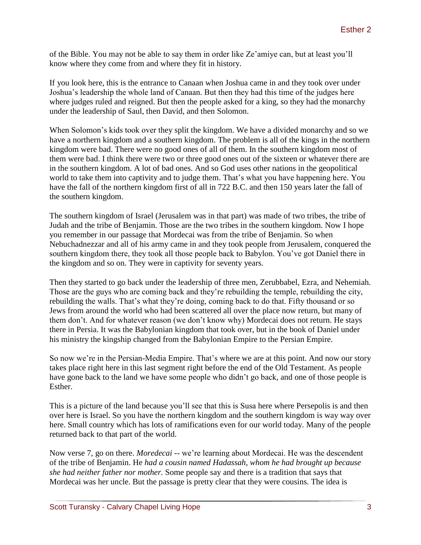of the Bible. You may not be able to say them in order like Ze'amiye can, but at least you'll know where they come from and where they fit in history.

If you look here, this is the entrance to Canaan when Joshua came in and they took over under Joshua's leadership the whole land of Canaan. But then they had this time of the judges here where judges ruled and reigned. But then the people asked for a king, so they had the monarchy under the leadership of Saul, then David, and then Solomon.

When Solomon's kids took over they split the kingdom. We have a divided monarchy and so we have a northern kingdom and a southern kingdom. The problem is all of the kings in the northern kingdom were bad. There were no good ones of all of them. In the southern kingdom most of them were bad. I think there were two or three good ones out of the sixteen or whatever there are in the southern kingdom. A lot of bad ones. And so God uses other nations in the geopolitical world to take them into captivity and to judge them. That's what you have happening here. You have the fall of the northern kingdom first of all in 722 B.C. and then 150 years later the fall of the southern kingdom.

The southern kingdom of Israel (Jerusalem was in that part) was made of two tribes, the tribe of Judah and the tribe of Benjamin. Those are the two tribes in the southern kingdom. Now I hope you remember in our passage that Mordecai was from the tribe of Benjamin. So when Nebuchadnezzar and all of his army came in and they took people from Jerusalem, conquered the southern kingdom there, they took all those people back to Babylon. You've got Daniel there in the kingdom and so on. They were in captivity for seventy years.

Then they started to go back under the leadership of three men, Zerubbabel, Ezra, and Nehemiah. Those are the guys who are coming back and they're rebuilding the temple, rebuilding the city, rebuilding the walls. That's what they're doing, coming back to do that. Fifty thousand or so Jews from around the world who had been scattered all over the place now return, but many of them don't. And for whatever reason (we don't know why) Mordecai does not return. He stays there in Persia. It was the Babylonian kingdom that took over, but in the book of Daniel under his ministry the kingship changed from the Babylonian Empire to the Persian Empire.

So now we're in the Persian-Media Empire. That's where we are at this point. And now our story takes place right here in this last segment right before the end of the Old Testament. As people have gone back to the land we have some people who didn't go back, and one of those people is Esther.

This is a picture of the land because you'll see that this is Susa here where Persepolis is and then over here is Israel. So you have the northern kingdom and the southern kingdom is way way over here. Small country which has lots of ramifications even for our world today. Many of the people returned back to that part of the world.

Now verse 7, go on there. *Moredecai* -- we're learning about Mordecai. He was the descendent of the tribe of Benjamin. He *had a cousin named Hadassah, whom he had brought up because she had neither father nor mother.* Some people say and there is a tradition that says that Mordecai was her uncle. But the passage is pretty clear that they were cousins. The idea is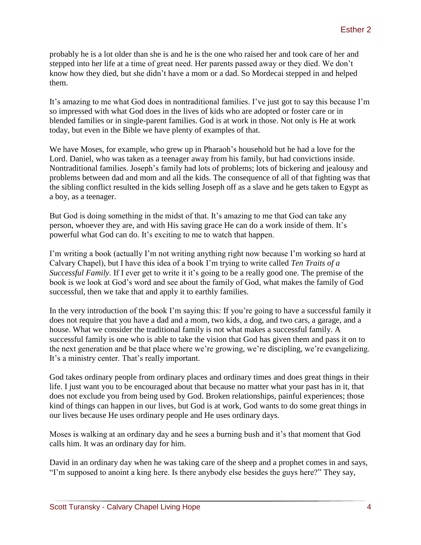probably he is a lot older than she is and he is the one who raised her and took care of her and stepped into her life at a time of great need. Her parents passed away or they died. We don't know how they died, but she didn't have a mom or a dad. So Mordecai stepped in and helped them.

It's amazing to me what God does in nontraditional families. I've just got to say this because I'm so impressed with what God does in the lives of kids who are adopted or foster care or in blended families or in single-parent families. God is at work in those. Not only is He at work today, but even in the Bible we have plenty of examples of that.

We have Moses, for example, who grew up in Pharaoh's household but he had a love for the Lord. Daniel, who was taken as a teenager away from his family, but had convictions inside. Nontraditional families. Joseph's family had lots of problems; lots of bickering and jealousy and problems between dad and mom and all the kids. The consequence of all of that fighting was that the sibling conflict resulted in the kids selling Joseph off as a slave and he gets taken to Egypt as a boy, as a teenager.

But God is doing something in the midst of that. It's amazing to me that God can take any person, whoever they are, and with His saving grace He can do a work inside of them. It's powerful what God can do. It's exciting to me to watch that happen.

I'm writing a book (actually I'm not writing anything right now because I'm working so hard at Calvary Chapel), but I have this idea of a book I'm trying to write called *Ten Traits of a Successful Family*. If I ever get to write it it's going to be a really good one. The premise of the book is we look at God's word and see about the family of God, what makes the family of God successful, then we take that and apply it to earthly families.

In the very introduction of the book I'm saying this: If you're going to have a successful family it does not require that you have a dad and a mom, two kids, a dog, and two cars, a garage, and a house. What we consider the traditional family is not what makes a successful family. A successful family is one who is able to take the vision that God has given them and pass it on to the next generation and be that place where we're growing, we're discipling, we're evangelizing. It's a ministry center. That's really important.

God takes ordinary people from ordinary places and ordinary times and does great things in their life. I just want you to be encouraged about that because no matter what your past has in it, that does not exclude you from being used by God. Broken relationships, painful experiences; those kind of things can happen in our lives, but God is at work, God wants to do some great things in our lives because He uses ordinary people and He uses ordinary days.

Moses is walking at an ordinary day and he sees a burning bush and it's that moment that God calls him. It was an ordinary day for him.

David in an ordinary day when he was taking care of the sheep and a prophet comes in and says, "I'm supposed to anoint a king here. Is there anybody else besides the guys here?" They say,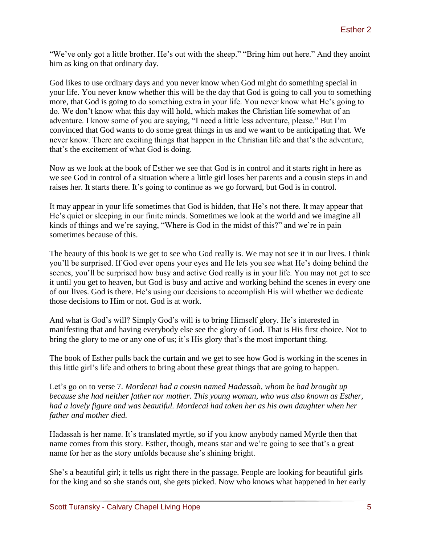"We've only got a little brother. He's out with the sheep." "Bring him out here." And they anoint him as king on that ordinary day.

God likes to use ordinary days and you never know when God might do something special in your life. You never know whether this will be the day that God is going to call you to something more, that God is going to do something extra in your life. You never know what He's going to do. We don't know what this day will hold, which makes the Christian life somewhat of an adventure. I know some of you are saying, "I need a little less adventure, please." But I'm convinced that God wants to do some great things in us and we want to be anticipating that. We never know. There are exciting things that happen in the Christian life and that's the adventure, that's the excitement of what God is doing.

Now as we look at the book of Esther we see that God is in control and it starts right in here as we see God in control of a situation where a little girl loses her parents and a cousin steps in and raises her. It starts there. It's going to continue as we go forward, but God is in control.

It may appear in your life sometimes that God is hidden, that He's not there. It may appear that He's quiet or sleeping in our finite minds. Sometimes we look at the world and we imagine all kinds of things and we're saying, "Where is God in the midst of this?" and we're in pain sometimes because of this.

The beauty of this book is we get to see who God really is. We may not see it in our lives. I think you'll be surprised. If God ever opens your eyes and He lets you see what He's doing behind the scenes, you'll be surprised how busy and active God really is in your life. You may not get to see it until you get to heaven, but God is busy and active and working behind the scenes in every one of our lives. God is there. He's using our decisions to accomplish His will whether we dedicate those decisions to Him or not. God is at work.

And what is God's will? Simply God's will is to bring Himself glory. He's interested in manifesting that and having everybody else see the glory of God. That is His first choice. Not to bring the glory to me or any one of us; it's His glory that's the most important thing.

The book of Esther pulls back the curtain and we get to see how God is working in the scenes in this little girl's life and others to bring about these great things that are going to happen.

Let's go on to verse 7. *Mordecai had a cousin named Hadassah, whom he had brought up because she had neither father nor mother. This young woman, who was also known as Esther, had a lovely figure and was beautiful. Mordecai had taken her as his own daughter when her father and mother died.*

Hadassah is her name. It's translated myrtle, so if you know anybody named Myrtle then that name comes from this story. Esther, though, means star and we're going to see that's a great name for her as the story unfolds because she's shining bright.

She's a beautiful girl; it tells us right there in the passage. People are looking for beautiful girls for the king and so she stands out, she gets picked. Now who knows what happened in her early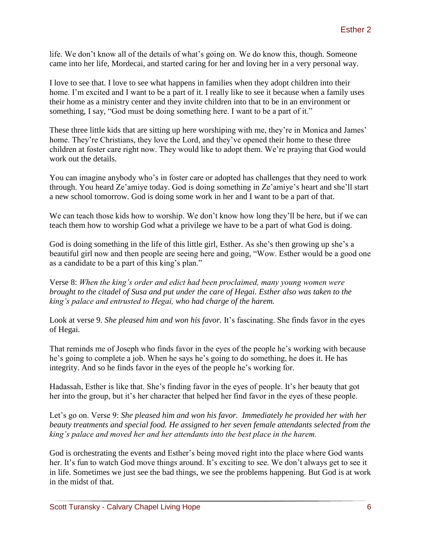life. We don't know all of the details of what's going on. We do know this, though. Someone came into her life, Mordecai, and started caring for her and loving her in a very personal way.

I love to see that. I love to see what happens in families when they adopt children into their home. I'm excited and I want to be a part of it. I really like to see it because when a family uses their home as a ministry center and they invite children into that to be in an environment or something, I say, "God must be doing something here. I want to be a part of it."

These three little kids that are sitting up here worshiping with me, they're in Monica and James' home. They're Christians, they love the Lord, and they've opened their home to these three children at foster care right now. They would like to adopt them. We're praying that God would work out the details.

You can imagine anybody who's in foster care or adopted has challenges that they need to work through. You heard Ze'amiye today. God is doing something in Ze'amiye's heart and she'll start a new school tomorrow. God is doing some work in her and I want to be a part of that.

We can teach those kids how to worship. We don't know how long they'll be here, but if we can teach them how to worship God what a privilege we have to be a part of what God is doing.

God is doing something in the life of this little girl, Esther. As she's then growing up she's a beautiful girl now and then people are seeing here and going, "Wow. Esther would be a good one as a candidate to be a part of this king's plan."

Verse 8: *When the king's order and edict had been proclaimed, many young women were brought to the citadel of Susa and put under the care of Hegai. Esther also was taken to the king's palace and entrusted to Hegai, who had charge of the harem.* 

Look at verse 9. *She pleased him and won his favor.* It's fascinating. She finds favor in the eyes of Hegai.

That reminds me of Joseph who finds favor in the eyes of the people he's working with because he's going to complete a job. When he says he's going to do something, he does it. He has integrity. And so he finds favor in the eyes of the people he's working for.

Hadassah, Esther is like that. She's finding favor in the eyes of people. It's her beauty that got her into the group, but it's her character that helped her find favor in the eyes of these people.

Let's go on. Verse 9: *She pleased him and won his favor. Immediately he provided her with her beauty treatments and special food. He assigned to her seven female attendants selected from the king's palace and moved her and her attendants into the best place in the harem.*

God is orchestrating the events and Esther's being moved right into the place where God wants her. It's fun to watch God move things around. It's exciting to see. We don't always get to see it in life. Sometimes we just see the bad things, we see the problems happening. But God is at work in the midst of that.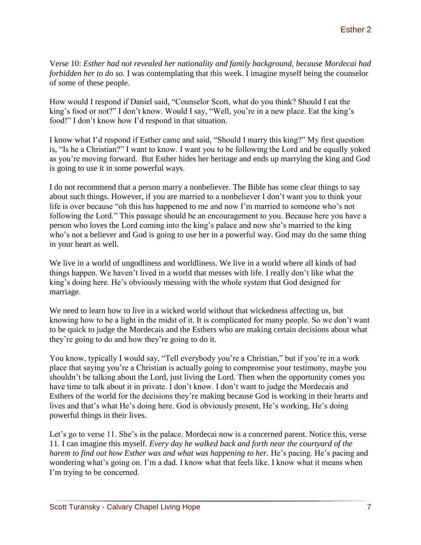Verse 10: *Esther had not revealed her nationality and family background, because Mordecai had forbidden her to do so.* I was contemplating that this week. I imagine myself being the counselor of some of these people.

How would I respond if Daniel said, "Counselor Scott, what do you think? Should I eat the king's food or not?" I don't know. Would I say, "Well, you're in a new place. Eat the king's food!" I don't know how I'd respond in that situation.

I know what I'd respond if Esther came and said, "Should I marry this king?" My first question is, "Is he a Christian?" I want to know. I want you to be following the Lord and be equally yoked as you're moving forward. But Esther hides her heritage and ends up marrying the king and God is going to use it in some powerful ways.

I do not recommend that a person marry a nonbeliever. The Bible has some clear things to say about such things. However, if you are married to a nonbeliever I don't want you to think your life is over because "oh this has happened to me and now I'm married to someone who's not following the Lord." This passage should be an encouragement to you. Because here you have a person who loves the Lord coming into the king's palace and now she's married to the king who's not a believer and God is going to use her in a powerful way. God may do the same thing in your heart as well.

We live in a world of ungodliness and worldliness. We live in a world where all kinds of bad things happen. We haven't lived in a world that messes with life. I really don't like what the king's doing here. He's obviously messing with the whole system that God designed for marriage.

We need to learn how to live in a wicked world without that wickedness affecting us, but knowing how to be a light in the midst of it. It is complicated for many people. So we don't want to be quick to judge the Mordecais and the Esthers who are making certain decisions about what they're going to do and how they're going to do it.

You know, typically I would say, "Tell everybody you're a Christian," but if you're in a work place that saying you're a Christian is actually going to compromise your testimony, maybe you shouldn't be talking about the Lord, just living the Lord. Then when the opportunity comes you have time to talk about it in private. I don't know. I don't want to judge the Mordecais and Esthers of the world for the decisions they're making because God is working in their hearts and lives and that's what He's doing here. God is obviously present, He's working, He's doing powerful things in their lives.

Let's go to verse 11. She's in the palace. Mordecai now is a concerned parent. Notice this, verse 11. I can imagine this myself. *Every day he walked back and forth near the courtyard of the harem to find out how Esther was and what was happening to her.* He's pacing. He's pacing and wondering what's going on. I'm a dad. I know what that feels like. I know what it means when I'm trying to be concerned.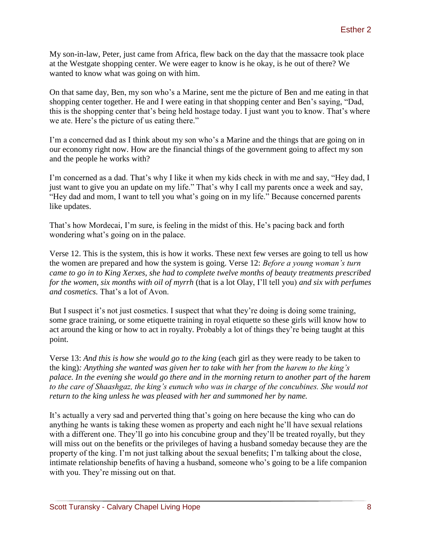My son-in-law, Peter, just came from Africa, flew back on the day that the massacre took place at the Westgate shopping center. We were eager to know is he okay, is he out of there? We wanted to know what was going on with him.

On that same day, Ben, my son who's a Marine, sent me the picture of Ben and me eating in that shopping center together. He and I were eating in that shopping center and Ben's saying, "Dad, this is the shopping center that's being held hostage today. I just want you to know. That's where we ate. Here's the picture of us eating there."

I'm a concerned dad as I think about my son who's a Marine and the things that are going on in our economy right now. How are the financial things of the government going to affect my son and the people he works with?

I'm concerned as a dad. That's why I like it when my kids check in with me and say, "Hey dad, I just want to give you an update on my life." That's why I call my parents once a week and say, "Hey dad and mom, I want to tell you what's going on in my life." Because concerned parents like updates.

That's how Mordecai, I'm sure, is feeling in the midst of this. He's pacing back and forth wondering what's going on in the palace.

Verse 12. This is the system, this is how it works. These next few verses are going to tell us how the women are prepared and how the system is going. Verse 12: *Before a young woman's turn came to go in to King Xerxes, she had to complete twelve months of beauty treatments prescribed for the women, six months with oil of myrrh* (that is a lot Olay, I'll tell you) *and six with perfumes and cosmetics.* That's a lot of Avon.

But I suspect it's not just cosmetics. I suspect that what they're doing is doing some training, some grace training, or some etiquette training in royal etiquette so these girls will know how to act around the king or how to act in royalty. Probably a lot of things they're being taught at this point.

Verse 13: *And this is how she would go to the king* (each girl as they were ready to be taken to the king)*: Anything she wanted was given her to take with her from the harem to the king's palace. In the evening she would go there and in the morning return to another part of the harem to the care of Shaashgaz, the king's eunuch who was in charge of the concubines. She would not return to the king unless he was pleased with her and summoned her by name.*

It's actually a very sad and perverted thing that's going on here because the king who can do anything he wants is taking these women as property and each night he'll have sexual relations with a different one. They'll go into his concubine group and they'll be treated royally, but they will miss out on the benefits or the privileges of having a husband someday because they are the property of the king. I'm not just talking about the sexual benefits; I'm talking about the close, intimate relationship benefits of having a husband, someone who's going to be a life companion with you. They're missing out on that.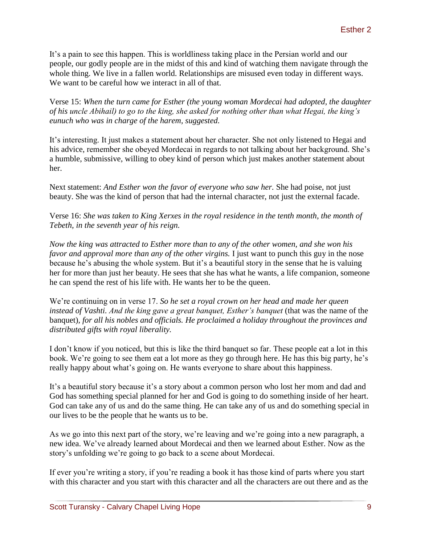It's a pain to see this happen. This is worldliness taking place in the Persian world and our people, our godly people are in the midst of this and kind of watching them navigate through the whole thing. We live in a fallen world. Relationships are misused even today in different ways. We want to be careful how we interact in all of that.

Verse 15: *When the turn came for Esther (the young woman Mordecai had adopted, the daughter of his uncle Abihail) to go to the king, she asked for nothing other than what Hegai, the king's eunuch who was in charge of the harem, suggested.* 

It's interesting. It just makes a statement about her character. She not only listened to Hegai and his advice, remember she obeyed Mordecai in regards to not talking about her background. She's a humble, submissive, willing to obey kind of person which just makes another statement about her.

Next statement: *And Esther won the favor of everyone who saw her.* She had poise, not just beauty. She was the kind of person that had the internal character, not just the external facade.

Verse 16: *She was taken to King Xerxes in the royal residence in the tenth month, the month of Tebeth, in the seventh year of his reign.*

*Now the king was attracted to Esther more than to any of the other women, and she won his favor and approval more than any of the other virgins.* I just want to punch this guy in the nose because he's abusing the whole system. But it's a beautiful story in the sense that he is valuing her for more than just her beauty. He sees that she has what he wants, a life companion, someone he can spend the rest of his life with. He wants her to be the queen.

We're continuing on in verse 17. *So he set a royal crown on her head and made her queen instead of Vashti. And the king gave a great banquet, Esther's banquet* (that was the name of the banquet)*, for all his nobles and officials. He proclaimed a holiday throughout the provinces and distributed gifts with royal liberality.*

I don't know if you noticed, but this is like the third banquet so far. These people eat a lot in this book. We're going to see them eat a lot more as they go through here. He has this big party, he's really happy about what's going on. He wants everyone to share about this happiness.

It's a beautiful story because it's a story about a common person who lost her mom and dad and God has something special planned for her and God is going to do something inside of her heart. God can take any of us and do the same thing. He can take any of us and do something special in our lives to be the people that he wants us to be.

As we go into this next part of the story, we're leaving and we're going into a new paragraph, a new idea. We've already learned about Mordecai and then we learned about Esther. Now as the story's unfolding we're going to go back to a scene about Mordecai.

If ever you're writing a story, if you're reading a book it has those kind of parts where you start with this character and you start with this character and all the characters are out there and as the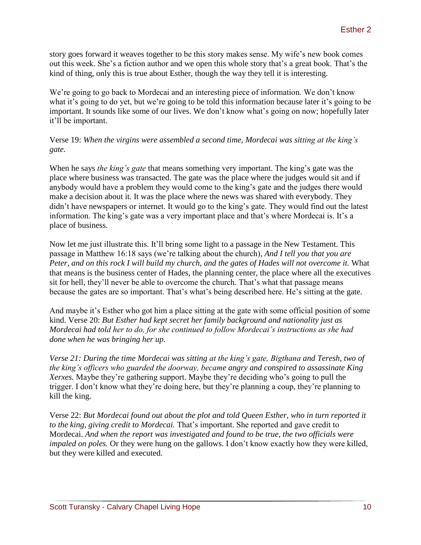story goes forward it weaves together to be this story makes sense. My wife's new book comes out this week. She's a fiction author and we open this whole story that's a great book. That's the kind of thing, only this is true about Esther, though the way they tell it is interesting.

We're going to go back to Mordecai and an interesting piece of information. We don't know what it's going to do yet, but we're going to be told this information because later it's going to be important. It sounds like some of our lives. We don't know what's going on now; hopefully later it'll be important.

Verse 19: *When the virgins were assembled a second time, Mordecai was sitting at the king's gate.* 

When he says *the king's gate* that means something very important. The king's gate was the place where business was transacted. The gate was the place where the judges would sit and if anybody would have a problem they would come to the king's gate and the judges there would make a decision about it. It was the place where the news was shared with everybody. They didn't have newspapers or internet. It would go to the king's gate. They would find out the latest information. The king's gate was a very important place and that's where Mordecai is. It's a place of business.

Now let me just illustrate this. It'll bring some light to a passage in the New Testament. This passage in Matthew 16:18 says (we're talking about the church), *And I tell you that you are Peter, and on this rock I will build my church, and the gates of Hades will not overcome it.* What that means is the business center of Hades, the planning center, the place where all the executives sit for hell, they'll never be able to overcome the church. That's what that passage means because the gates are so important. That's what's being described here. He's sitting at the gate.

And maybe it's Esther who got him a place sitting at the gate with some official position of some kind. Verse 20: *But Esther had kept secret her family background and nationality just as Mordecai had told her to do, for she continued to follow Mordecai's instructions as she had done when he was bringing her up.*

*Verse 21: During the time Mordecai was sitting at the king's gate, Bigthana and Teresh, two of the king's officers who guarded the doorway, became angry and conspired to assassinate King Xerxes.* Maybe they're gathering support. Maybe they're deciding who's going to pull the trigger. I don't know what they're doing here, but they're planning a coup, they're planning to kill the king.

Verse 22: *But Mordecai found out about the plot and told Queen Esther, who in turn reported it to the king, giving credit to Mordecai.* That's important. She reported and gave credit to Mordecai. *And when the report was investigated and found to be true, the two officials were impaled on poles.* Or they were hung on the gallows. I don't know exactly how they were killed, but they were killed and executed.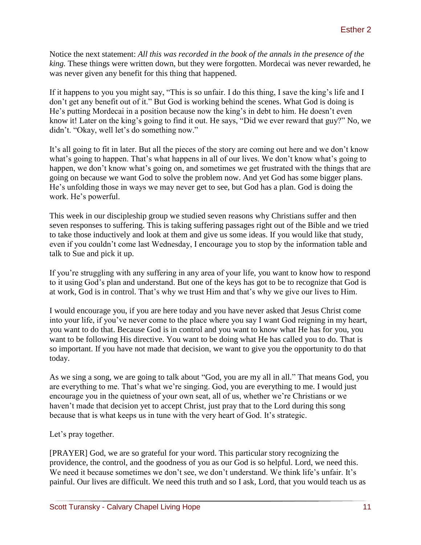Notice the next statement: *All this was recorded in the book of the annals in the presence of the king.* These things were written down, but they were forgotten. Mordecai was never rewarded, he was never given any benefit for this thing that happened.

If it happens to you you might say, "This is so unfair. I do this thing, I save the king's life and I don't get any benefit out of it." But God is working behind the scenes. What God is doing is He's putting Mordecai in a position because now the king's in debt to him. He doesn't even know it! Later on the king's going to find it out. He says, "Did we ever reward that guy?" No, we didn't. "Okay, well let's do something now."

It's all going to fit in later. But all the pieces of the story are coming out here and we don't know what's going to happen. That's what happens in all of our lives. We don't know what's going to happen, we don't know what's going on, and sometimes we get frustrated with the things that are going on because we want God to solve the problem now. And yet God has some bigger plans. He's unfolding those in ways we may never get to see, but God has a plan. God is doing the work. He's powerful.

This week in our discipleship group we studied seven reasons why Christians suffer and then seven responses to suffering. This is taking suffering passages right out of the Bible and we tried to take those inductively and look at them and give us some ideas. If you would like that study, even if you couldn't come last Wednesday, I encourage you to stop by the information table and talk to Sue and pick it up.

If you're struggling with any suffering in any area of your life, you want to know how to respond to it using God's plan and understand. But one of the keys has got to be to recognize that God is at work, God is in control. That's why we trust Him and that's why we give our lives to Him.

I would encourage you, if you are here today and you have never asked that Jesus Christ come into your life, if you've never come to the place where you say I want God reigning in my heart, you want to do that. Because God is in control and you want to know what He has for you, you want to be following His directive. You want to be doing what He has called you to do. That is so important. If you have not made that decision, we want to give you the opportunity to do that today.

As we sing a song, we are going to talk about "God, you are my all in all." That means God, you are everything to me. That's what we're singing. God, you are everything to me. I would just encourage you in the quietness of your own seat, all of us, whether we're Christians or we haven't made that decision yet to accept Christ, just pray that to the Lord during this song because that is what keeps us in tune with the very heart of God. It's strategic.

Let's pray together.

[PRAYER] God, we are so grateful for your word. This particular story recognizing the providence, the control, and the goodness of you as our God is so helpful. Lord, we need this. We need it because sometimes we don't see, we don't understand. We think life's unfair. It's painful. Our lives are difficult. We need this truth and so I ask, Lord, that you would teach us as